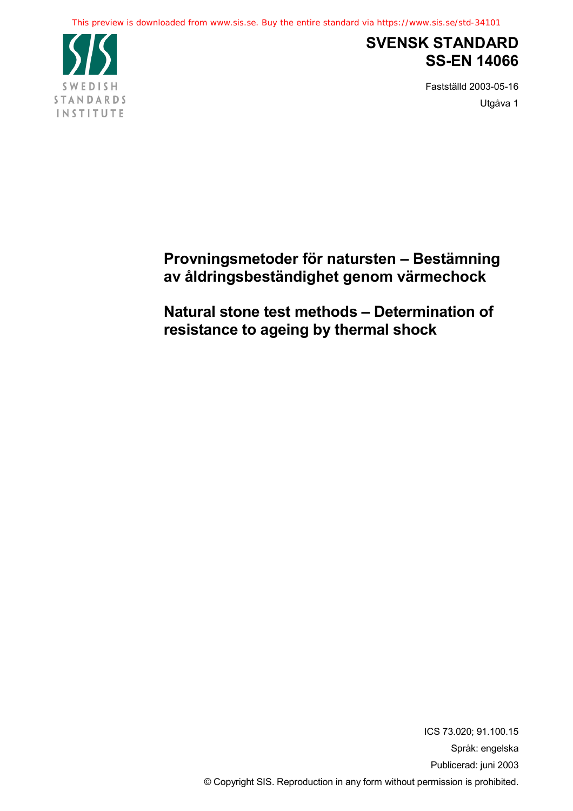This preview is downloaded from www.sis.se. Buy the entire standard via https://www.sis.se/std-34101



# **SVENSK STANDARD SS-EN 14066**

Fastställd 2003-05-16 Utgåva 1

# **Provningsmetoder för natursten – Bestämning av åldringsbeständighet genom värmechock**

**Natural stone test methods – Determination of resistance to ageing by thermal shock**

> ICS 73.020; 91.100.15 Språk: engelska Publicerad: juni 2003 © Copyright SIS. Reproduction in any form without permission is prohibited.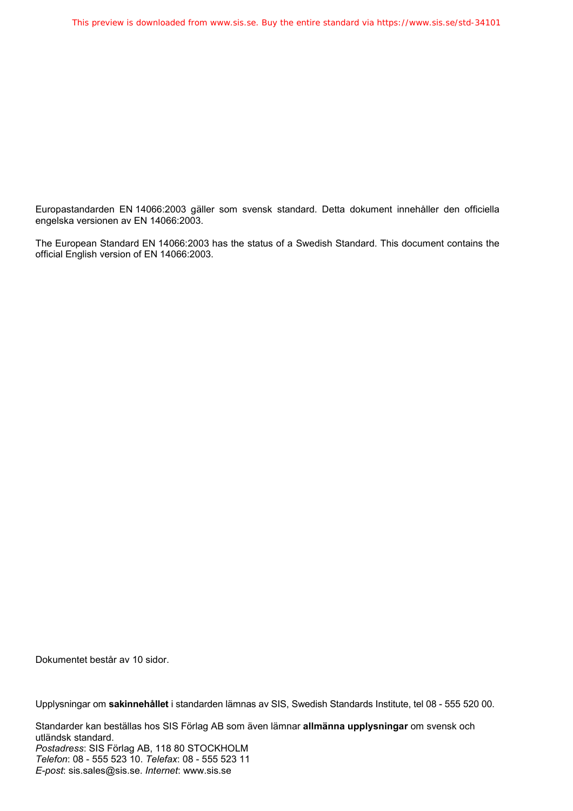Europastandarden EN 14066:2003 gäller som svensk standard. Detta dokument innehåller den officiella engelska versionen av EN 14066:2003.

The European Standard EN 14066:2003 has the status of a Swedish Standard. This document contains the official English version of EN 14066:2003.

Dokumentet består av 10 sidor.

Upplysningar om **sakinnehållet** i standarden lämnas av SIS, Swedish Standards Institute, tel 08 - 555 520 00.

Standarder kan beställas hos SIS Förlag AB som även lämnar **allmänna upplysningar** om svensk och utländsk standard. *Postadress*: SIS Förlag AB, 118 80 STOCKHOLM *Telefon*: 08 - 555 523 10. *Telefax*: 08 - 555 523 11 *E-post*: sis.sales@sis.se. *Internet*: www.sis.se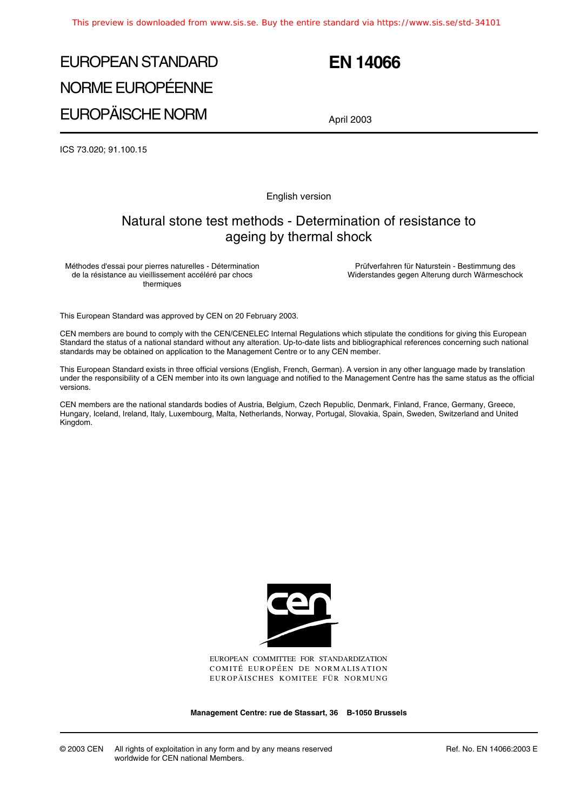# EUROPEAN STANDARD NORME EUROPÉENNE EUROPÄISCHE NORM

## **EN 14066**

April 2003

ICS 73.020; 91.100.15

English version

#### Natural stone test methods - Determination of resistance to ageing by thermal shock

Méthodes d'essai pour pierres naturelles - Détermination de la résistance au vieillissement accéléré par chocs thermiques

Prüfverfahren für Naturstein - Bestimmung des Widerstandes gegen Alterung durch Wärmeschock

This European Standard was approved by CEN on 20 February 2003.

CEN members are bound to comply with the CEN/CENELEC Internal Regulations which stipulate the conditions for giving this European Standard the status of a national standard without any alteration. Up-to-date lists and bibliographical references concerning such national standards may be obtained on application to the Management Centre or to any CEN member.

This European Standard exists in three official versions (English, French, German). A version in any other language made by translation under the responsibility of a CEN member into its own language and notified to the Management Centre has the same status as the official versions.

CEN members are the national standards bodies of Austria, Belgium, Czech Republic, Denmark, Finland, France, Germany, Greece, Hungary, Iceland, Ireland, Italy, Luxembourg, Malta, Netherlands, Norway, Portugal, Slovakia, Spain, Sweden, Switzerland and United Kingdom.



EUROPEAN COMMITTEE FOR STANDARDIZATION COMITÉ EUROPÉEN DE NORMALISATION EUROPÄISCHES KOMITEE FÜR NORMUNG

**Management Centre: rue de Stassart, 36 B-1050 Brussels**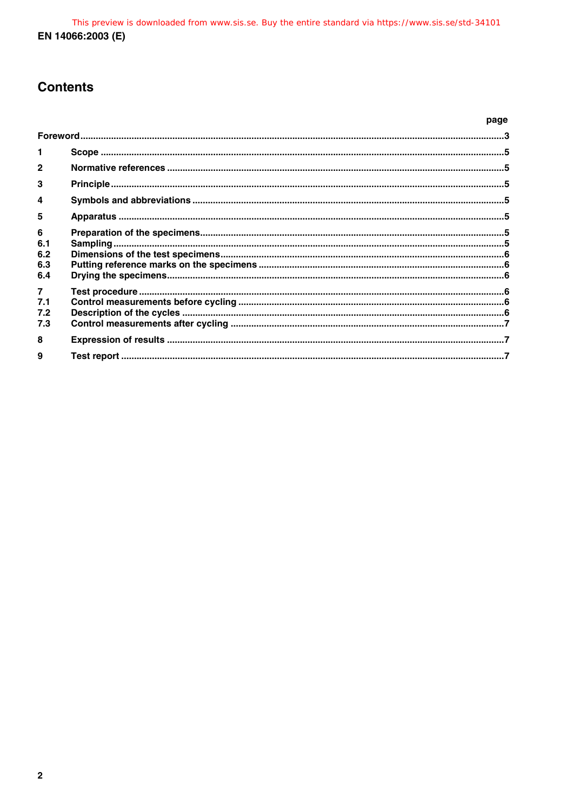## **Contents**

|                                     | page |  |
|-------------------------------------|------|--|
|                                     |      |  |
| 1                                   |      |  |
| $\mathbf{c}$                        |      |  |
| 3                                   |      |  |
| 4                                   |      |  |
| 5                                   |      |  |
| 6<br>6.1<br>6.2<br>6.3              |      |  |
| 6.4                                 |      |  |
| $\overline{7}$<br>7.1<br>7.2<br>7.3 |      |  |
| 8                                   |      |  |
| 9                                   |      |  |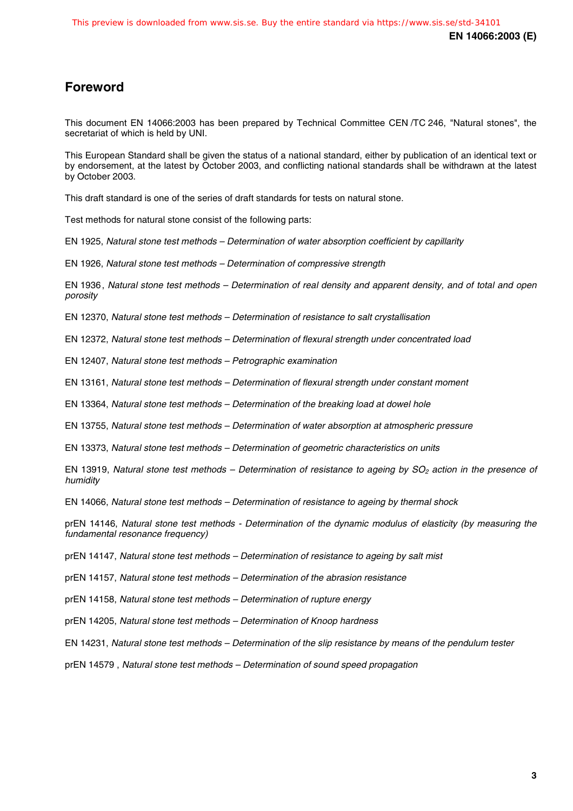## **Foreword**

This document EN 14066:2003 has been prepared by Technical Committee CEN /TC 246, "Natural stones", the secretariat of which is held by UNI.

This European Standard shall be given the status of a national standard, either by publication of an identical text or by endorsement, at the latest by October 2003, and conflicting national standards shall be withdrawn at the latest by October 2003.

This draft standard is one of the series of draft standards for tests on natural stone.

Test methods for natural stone consist of the following parts:

EN 1925, Natural stone test methods – Determination of water absorption coefficient by capillarity

EN 1926, Natural stone test methods – Determination of compressive strength

EN 1936, Natural stone test methods – Determination of real density and apparent density, and of total and open porosity

EN 12370, Natural stone test methods – Determination of resistance to salt crystallisation

EN 12372, Natural stone test methods – Determination of flexural strength under concentrated load

EN 12407, Natural stone test methods – Petrographic examination

EN 13161, Natural stone test methods – Determination of flexural strength under constant moment

EN 13364, Natural stone test methods – Determination of the breaking load at dowel hole

EN 13755, Natural stone test methods – Determination of water absorption at atmospheric pressure

EN 13373, Natural stone test methods – Determination of geometric characteristics on units

EN 13919, Natural stone test methods – Determination of resistance to ageing by  $SO<sub>2</sub>$  action in the presence of humidity

EN 14066, Natural stone test methods – Determination of resistance to ageing by thermal shock

prEN 14146, Natural stone test methods - Determination of the dynamic modulus of elasticity (by measuring the fundamental resonance frequency)

prEN 14147, Natural stone test methods – Determination of resistance to ageing by salt mist

prEN 14157, Natural stone test methods – Determination of the abrasion resistance

prEN 14158, Natural stone test methods – Determination of rupture energy

prEN 14205, Natural stone test methods – Determination of Knoop hardness

EN 14231, Natural stone test methods – Determination of the slip resistance by means of the pendulum tester

prEN 14579 , Natural stone test methods – Determination of sound speed propagation